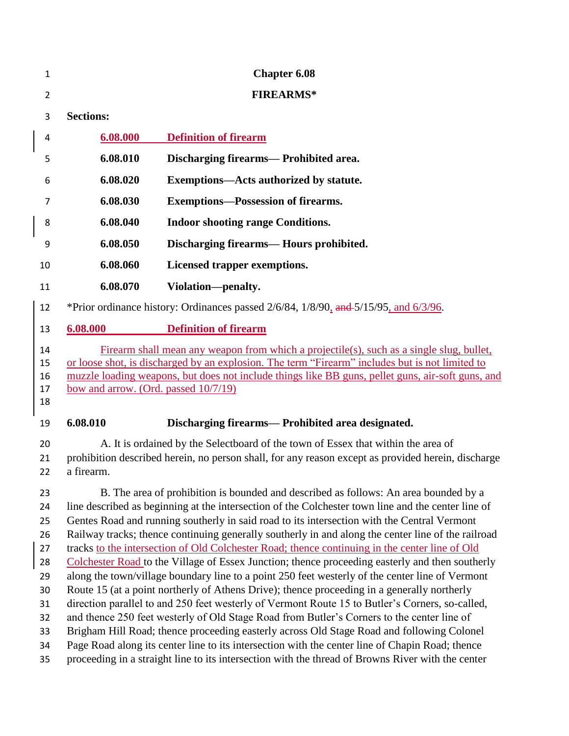| 1                                                                          |                                                                                                                                                                                                                                                                                                                                                                                                                                                                                                                                                                                                                                                                                                                                                                                                                                                                                                                                                                                                                                                                                                                                                                                                                                                                                                              | <b>Chapter 6.08</b>                               |  |
|----------------------------------------------------------------------------|--------------------------------------------------------------------------------------------------------------------------------------------------------------------------------------------------------------------------------------------------------------------------------------------------------------------------------------------------------------------------------------------------------------------------------------------------------------------------------------------------------------------------------------------------------------------------------------------------------------------------------------------------------------------------------------------------------------------------------------------------------------------------------------------------------------------------------------------------------------------------------------------------------------------------------------------------------------------------------------------------------------------------------------------------------------------------------------------------------------------------------------------------------------------------------------------------------------------------------------------------------------------------------------------------------------|---------------------------------------------------|--|
| $\overline{2}$                                                             |                                                                                                                                                                                                                                                                                                                                                                                                                                                                                                                                                                                                                                                                                                                                                                                                                                                                                                                                                                                                                                                                                                                                                                                                                                                                                                              | <b>FIREARMS*</b>                                  |  |
| 3                                                                          | <b>Sections:</b>                                                                                                                                                                                                                                                                                                                                                                                                                                                                                                                                                                                                                                                                                                                                                                                                                                                                                                                                                                                                                                                                                                                                                                                                                                                                                             |                                                   |  |
| 4                                                                          | 6.08.000                                                                                                                                                                                                                                                                                                                                                                                                                                                                                                                                                                                                                                                                                                                                                                                                                                                                                                                                                                                                                                                                                                                                                                                                                                                                                                     | <b>Definition of firearm</b>                      |  |
| 5                                                                          | 6.08.010                                                                                                                                                                                                                                                                                                                                                                                                                                                                                                                                                                                                                                                                                                                                                                                                                                                                                                                                                                                                                                                                                                                                                                                                                                                                                                     | Discharging firearms— Prohibited area.            |  |
| 6                                                                          | 6.08.020                                                                                                                                                                                                                                                                                                                                                                                                                                                                                                                                                                                                                                                                                                                                                                                                                                                                                                                                                                                                                                                                                                                                                                                                                                                                                                     | Exemptions—Acts authorized by statute.            |  |
| 7                                                                          | 6.08.030                                                                                                                                                                                                                                                                                                                                                                                                                                                                                                                                                                                                                                                                                                                                                                                                                                                                                                                                                                                                                                                                                                                                                                                                                                                                                                     | <b>Exemptions—Possession of firearms.</b>         |  |
| 8                                                                          | 6.08.040                                                                                                                                                                                                                                                                                                                                                                                                                                                                                                                                                                                                                                                                                                                                                                                                                                                                                                                                                                                                                                                                                                                                                                                                                                                                                                     | <b>Indoor shooting range Conditions.</b>          |  |
| 9                                                                          | 6.08.050                                                                                                                                                                                                                                                                                                                                                                                                                                                                                                                                                                                                                                                                                                                                                                                                                                                                                                                                                                                                                                                                                                                                                                                                                                                                                                     | Discharging firearms— Hours prohibited.           |  |
| 10                                                                         | 6.08.060                                                                                                                                                                                                                                                                                                                                                                                                                                                                                                                                                                                                                                                                                                                                                                                                                                                                                                                                                                                                                                                                                                                                                                                                                                                                                                     | Licensed trapper exemptions.                      |  |
| 11                                                                         | 6.08.070                                                                                                                                                                                                                                                                                                                                                                                                                                                                                                                                                                                                                                                                                                                                                                                                                                                                                                                                                                                                                                                                                                                                                                                                                                                                                                     | Violation-penalty.                                |  |
| 12                                                                         | *Prior ordinance history: Ordinances passed $2/6/84$ , $1/8/90$ , and $5/15/95$ , and $6/3/96$ .                                                                                                                                                                                                                                                                                                                                                                                                                                                                                                                                                                                                                                                                                                                                                                                                                                                                                                                                                                                                                                                                                                                                                                                                             |                                                   |  |
| 13                                                                         | 6.08.000                                                                                                                                                                                                                                                                                                                                                                                                                                                                                                                                                                                                                                                                                                                                                                                                                                                                                                                                                                                                                                                                                                                                                                                                                                                                                                     | <b>Definition of firearm</b>                      |  |
| 14<br>15<br>16<br>17<br>18                                                 | Firearm shall mean any weapon from which a projectile(s), such as a single slug, bullet,<br>or loose shot, is discharged by an explosion. The term "Firearm" includes but is not limited to<br>muzzle loading weapons, but does not include things like BB guns, pellet guns, air-soft guns, and<br>bow and arrow. (Ord. passed 10/7/19)                                                                                                                                                                                                                                                                                                                                                                                                                                                                                                                                                                                                                                                                                                                                                                                                                                                                                                                                                                     |                                                   |  |
| 19                                                                         | 6.08.010                                                                                                                                                                                                                                                                                                                                                                                                                                                                                                                                                                                                                                                                                                                                                                                                                                                                                                                                                                                                                                                                                                                                                                                                                                                                                                     | Discharging firearms— Prohibited area designated. |  |
| 20<br>21<br>22                                                             | A. It is ordained by the Selectboard of the town of Essex that within the area of<br>prohibition described herein, no person shall, for any reason except as provided herein, discharge<br>a firearm.                                                                                                                                                                                                                                                                                                                                                                                                                                                                                                                                                                                                                                                                                                                                                                                                                                                                                                                                                                                                                                                                                                        |                                                   |  |
| 23<br>24<br>25<br>26<br>27<br>28<br>29<br>30<br>31<br>32<br>33<br>34<br>35 | B. The area of prohibition is bounded and described as follows: An area bounded by a<br>line described as beginning at the intersection of the Colchester town line and the center line of<br>Gentes Road and running southerly in said road to its intersection with the Central Vermont<br>Railway tracks; thence continuing generally southerly in and along the center line of the railroad<br>tracks to the intersection of Old Colchester Road; thence continuing in the center line of Old<br>Colchester Road to the Village of Essex Junction; thence proceeding easterly and then southerly<br>along the town/village boundary line to a point 250 feet westerly of the center line of Vermont<br>Route 15 (at a point northerly of Athens Drive); thence proceeding in a generally northerly<br>direction parallel to and 250 feet westerly of Vermont Route 15 to Butler's Corners, so-called,<br>and thence 250 feet westerly of Old Stage Road from Butler's Corners to the center line of<br>Brigham Hill Road; thence proceeding easterly across Old Stage Road and following Colonel<br>Page Road along its center line to its intersection with the center line of Chapin Road; thence<br>proceeding in a straight line to its intersection with the thread of Browns River with the center |                                                   |  |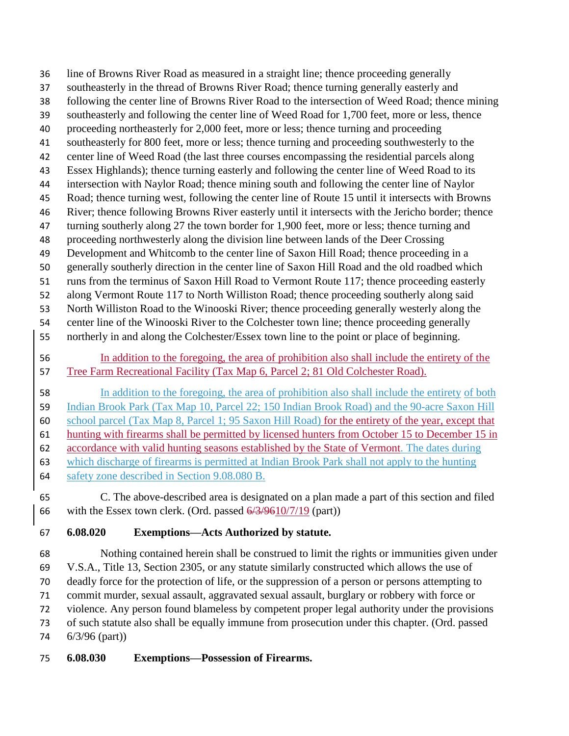line of Browns River Road as measured in a straight line; thence proceeding generally southeasterly in the thread of Browns River Road; thence turning generally easterly and following the center line of Browns River Road to the intersection of Weed Road; thence mining southeasterly and following the center line of Weed Road for 1,700 feet, more or less, thence proceeding northeasterly for 2,000 feet, more or less; thence turning and proceeding southeasterly for 800 feet, more or less; thence turning and proceeding southwesterly to the center line of Weed Road (the last three courses encompassing the residential parcels along Essex Highlands); thence turning easterly and following the center line of Weed Road to its intersection with Naylor Road; thence mining south and following the center line of Naylor Road; thence turning west, following the center line of Route 15 until it intersects with Browns River; thence following Browns River easterly until it intersects with the Jericho border; thence 47 turning southerly along 27 the town border for 1,900 feet, more or less; thence turning and proceeding northwesterly along the division line between lands of the Deer Crossing Development and Whitcomb to the center line of Saxon Hill Road; thence proceeding in a generally southerly direction in the center line of Saxon Hill Road and the old roadbed which runs from the terminus of Saxon Hill Road to Vermont Route 117; thence proceeding easterly along Vermont Route 117 to North Williston Road; thence proceeding southerly along said North Williston Road to the Winooski River; thence proceeding generally westerly along the center line of the Winooski River to the Colchester town line; thence proceeding generally northerly in and along the Colchester/Essex town line to the point or place of beginning. In addition to the foregoing, the area of prohibition also shall include the entirety of the Tree Farm Recreational Facility (Tax Map 6, Parcel 2; 81 Old Colchester Road). In addition to the foregoing, the area of prohibition also shall include the entirety of both

 Indian Brook Park (Tax Map 10, Parcel 22; 150 Indian Brook Road) and the 90-acre Saxon Hill school parcel (Tax Map 8, Parcel 1; 95 Saxon Hill Road) for the entirety of the year, except that hunting with firearms shall be permitted by licensed hunters from October 15 to December 15 in accordance with valid hunting seasons established by the State of Vermont. The dates during

- which discharge of firearms is permitted at Indian Brook Park shall not apply to the hunting
- safety zone described in Section 9.08.080 B.
- C. The above-described area is designated on a plan made a part of this section and filed 66 with the Essex town clerk. (Ord. passed  $6/3/9610/7/19$  (part))

# **6.08.020 Exemptions—Acts Authorized by statute.**

 Nothing contained herein shall be construed to limit the rights or immunities given under V.S.A., Title 13, Section 2305, or any statute similarly constructed which allows the use of deadly force for the protection of life, or the suppression of a person or persons attempting to commit murder, sexual assault, aggravated sexual assault, burglary or robbery with force or violence. Any person found blameless by competent proper legal authority under the provisions of such statute also shall be equally immune from prosecution under this chapter. (Ord. passed 6/3/96 (part))

# **6.08.030 Exemptions—Possession of Firearms.**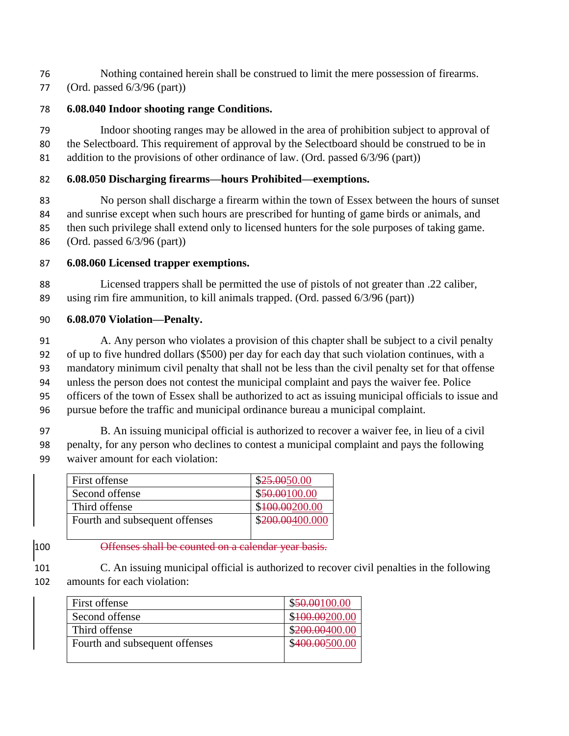- Nothing contained herein shall be construed to limit the mere possession of firearms.
- (Ord. passed 6/3/96 (part))

### **6.08.040 Indoor shooting range Conditions.**

 Indoor shooting ranges may be allowed in the area of prohibition subject to approval of the Selectboard. This requirement of approval by the Selectboard should be construed to be in addition to the provisions of other ordinance of law. (Ord. passed 6/3/96 (part))

## **6.08.050 Discharging firearms—hours Prohibited—exemptions.**

 No person shall discharge a firearm within the town of Essex between the hours of sunset and sunrise except when such hours are prescribed for hunting of game birds or animals, and then such privilege shall extend only to licensed hunters for the sole purposes of taking game. (Ord. passed 6/3/96 (part))

### **6.08.060 Licensed trapper exemptions.**

 Licensed trappers shall be permitted the use of pistols of not greater than .22 caliber, using rim fire ammunition, to kill animals trapped. (Ord. passed 6/3/96 (part))

#### **6.08.070 Violation—Penalty.**

 A. Any person who violates a provision of this chapter shall be subject to a civil penalty of up to five hundred dollars (\$500) per day for each day that such violation continues, with a mandatory minimum civil penalty that shall not be less than the civil penalty set for that offense unless the person does not contest the municipal complaint and pays the waiver fee. Police officers of the town of Essex shall be authorized to act as issuing municipal officials to issue and pursue before the traffic and municipal ordinance bureau a municipal complaint.

 B. An issuing municipal official is authorized to recover a waiver fee, in lieu of a civil penalty, for any person who declines to contest a municipal complaint and pays the following waiver amount for each violation:

| First offense                  | \$25.0050.00    |
|--------------------------------|-----------------|
| Second offense                 | \$50.00100.00   |
| Third offense                  | \$100.00200.00  |
| Fourth and subsequent offenses | \$200.00400.000 |
|                                |                 |

**Deffenses shall be counted on a calendar year basis.** 

 C. An issuing municipal official is authorized to recover civil penalties in the following amounts for each violation:

| First offense                  | \$50.00100.00  |
|--------------------------------|----------------|
| Second offense                 | \$100.00200.00 |
| Third offense                  | \$200.00400.00 |
| Fourth and subsequent offenses | \$400.00500.00 |
|                                |                |